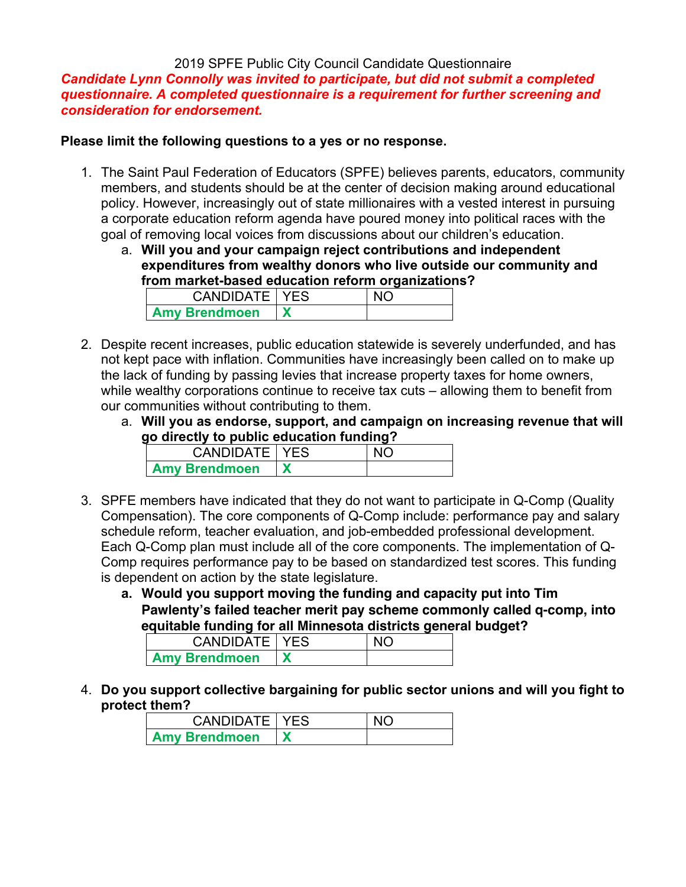#### 2019 SPFE Public City Council Candidate Questionnaire

*Candidate Lynn Connolly was invited to participate, but did not submit a completed questionnaire. A completed questionnaire is a requirement for further screening and consideration for endorsement.* 

#### **Please limit the following questions to a yes or no response.**

- 1. The Saint Paul Federation of Educators (SPFE) believes parents, educators, community members, and students should be at the center of decision making around educational policy. However, increasingly out of state millionaires with a vested interest in pursuing a corporate education reform agenda have poured money into political races with the goal of removing local voices from discussions about our children's education.
	- a. **Will you and your campaign reject contributions and independent expenditures from wealthy donors who live outside our community and from market-based education reform organizations?**

| <b>CANDIDATE   YES</b> |  |
|------------------------|--|
| <b>Amy Brendmoen</b>   |  |

- 2. Despite recent increases, public education statewide is severely underfunded, and has not kept pace with inflation. Communities have increasingly been called on to make up the lack of funding by passing levies that increase property taxes for home owners, while wealthy corporations continue to receive tax cuts – allowing them to benefit from our communities without contributing to them.
	- a. **Will you as endorse, support, and campaign on increasing revenue that will go directly to public education funding?**

| CANDIDATE   YES      |  |
|----------------------|--|
| <b>Amy Brendmoen</b> |  |

- 3. SPFE members have indicated that they do not want to participate in Q-Comp (Quality Compensation). The core components of Q-Comp include: performance pay and salary schedule reform, teacher evaluation, and job-embedded professional development. Each Q-Comp plan must include all of the core components. The implementation of Q-Comp requires performance pay to be based on standardized test scores. This funding is dependent on action by the state legislature.
	- **a. Would you support moving the funding and capacity put into Tim Pawlenty's failed teacher merit pay scheme commonly called q-comp, into equitable funding for all Minnesota districts general budget?**

| <b>CANDIDATE   YES</b> |  |
|------------------------|--|
| <b>Amy Brendmoen</b>   |  |

4. **Do you support collective bargaining for public sector unions and will you fight to protect them?**

| <b>CANDIDATE   YES</b> |  |
|------------------------|--|
| <b>Amy Brendmoen</b>   |  |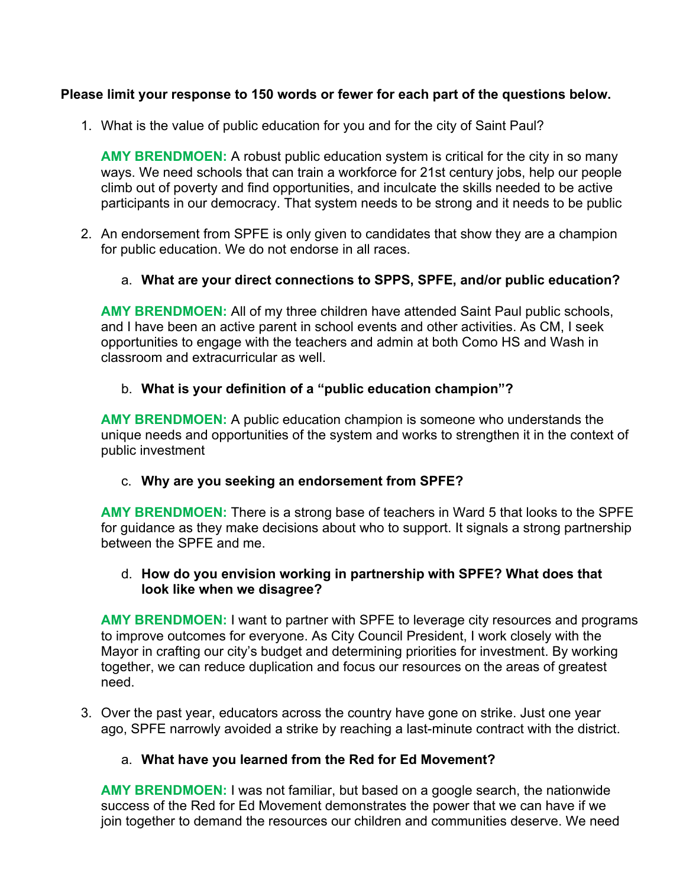## **Please limit your response to 150 words or fewer for each part of the questions below.**

1. What is the value of public education for you and for the city of Saint Paul?

**AMY BRENDMOEN:** A robust public education system is critical for the city in so many ways. We need schools that can train a workforce for 21st century jobs, help our people climb out of poverty and find opportunities, and inculcate the skills needed to be active participants in our democracy. That system needs to be strong and it needs to be public

- 2. An endorsement from SPFE is only given to candidates that show they are a champion for public education. We do not endorse in all races.
	- a. **What are your direct connections to SPPS, SPFE, and/or public education?**

**AMY BRENDMOEN:** All of my three children have attended Saint Paul public schools, and I have been an active parent in school events and other activities. As CM, I seek opportunities to engage with the teachers and admin at both Como HS and Wash in classroom and extracurricular as well.

### b. **What is your definition of a "public education champion"?**

**AMY BRENDMOEN:** A public education champion is someone who understands the unique needs and opportunities of the system and works to strengthen it in the context of public investment

### c. **Why are you seeking an endorsement from SPFE?**

**AMY BRENDMOEN:** There is a strong base of teachers in Ward 5 that looks to the SPFE for guidance as they make decisions about who to support. It signals a strong partnership between the SPFE and me.

#### d. **How do you envision working in partnership with SPFE? What does that look like when we disagree?**

**AMY BRENDMOEN:** I want to partner with SPFE to leverage city resources and programs to improve outcomes for everyone. As City Council President, I work closely with the Mayor in crafting our city's budget and determining priorities for investment. By working together, we can reduce duplication and focus our resources on the areas of greatest need.

3. Over the past year, educators across the country have gone on strike. Just one year ago, SPFE narrowly avoided a strike by reaching a last-minute contract with the district.

### a. **What have you learned from the Red for Ed Movement?**

**AMY BRENDMOEN:** I was not familiar, but based on a google search, the nationwide success of the Red for Ed Movement demonstrates the power that we can have if we join together to demand the resources our children and communities deserve. We need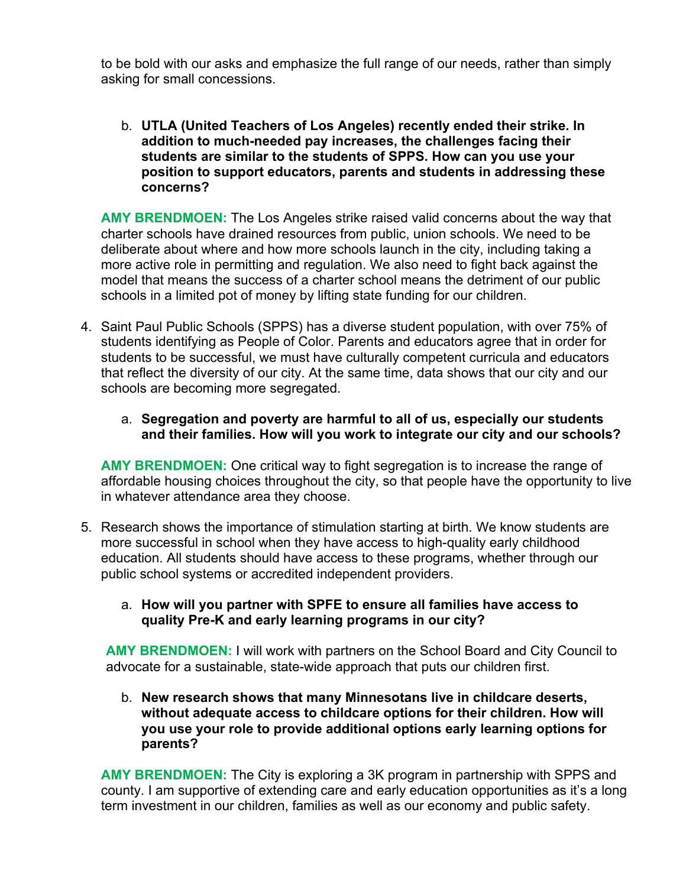to be bold with our asks and emphasize the full range of our needs, rather than simply asking for small concessions.

b. **UTLA (United Teachers of Los Angeles) recently ended their strike. In addition to much-needed pay increases, the challenges facing their students are similar to the students of SPPS. How can you use your position to support educators, parents and students in addressing these concerns?**

**AMY BRENDMOEN:** The Los Angeles strike raised valid concerns about the way that charter schools have drained resources from public, union schools. We need to be deliberate about where and how more schools launch in the city, including taking a more active role in permitting and regulation. We also need to fight back against the model that means the success of a charter school means the detriment of our public schools in a limited pot of money by lifting state funding for our children.

4. Saint Paul Public Schools (SPPS) has a diverse student population, with over 75% of students identifying as People of Color. Parents and educators agree that in order for students to be successful, we must have culturally competent curricula and educators that reflect the diversity of our city. At the same time, data shows that our city and our schools are becoming more segregated.

#### a. **Segregation and poverty are harmful to all of us, especially our students and their families. How will you work to integrate our city and our schools?**

**AMY BRENDMOEN:** One critical way to fight segregation is to increase the range of affordable housing choices throughout the city, so that people have the opportunity to live in whatever attendance area they choose.

5. Research shows the importance of stimulation starting at birth. We know students are more successful in school when they have access to high-quality early childhood education. All students should have access to these programs, whether through our public school systems or accredited independent providers.

## a. **How will you partner with SPFE to ensure all families have access to quality Pre-K and early learning programs in our city?**

**AMY BRENDMOEN:** I will work with partners on the School Board and City Council to advocate for a sustainable, state-wide approach that puts our children first.

b. **New research shows that many Minnesotans live in childcare deserts, without adequate access to childcare options for their children. How will you use your role to provide additional options early learning options for parents?**

**AMY BRENDMOEN:** The City is exploring a 3K program in partnership with SPPS and county. I am supportive of extending care and early education opportunities as it's a long term investment in our children, families as well as our economy and public safety.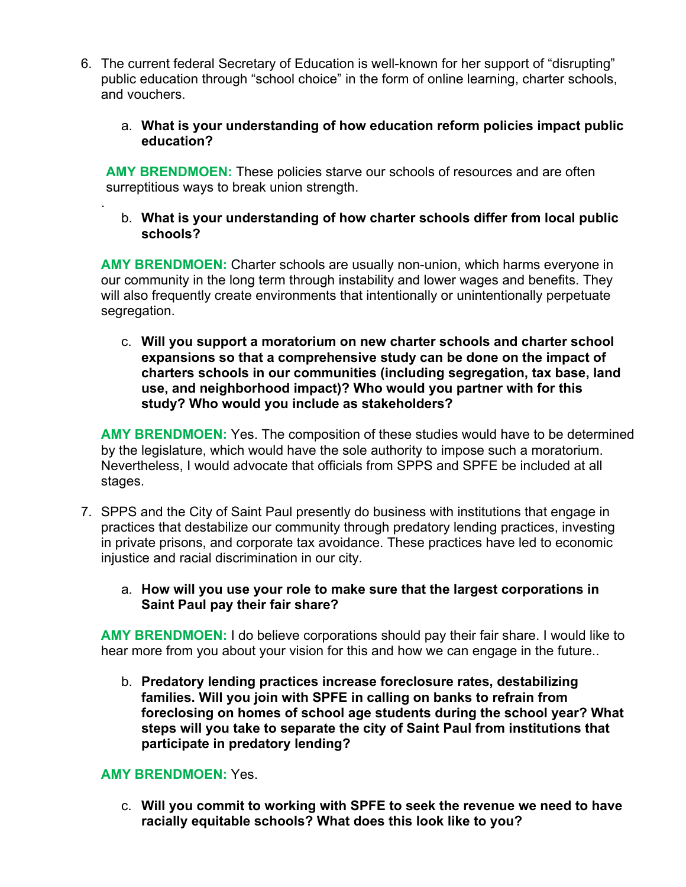- 6. The current federal Secretary of Education is well-known for her support of "disrupting" public education through "school choice" in the form of online learning, charter schools, and vouchers.
	- a. **What is your understanding of how education reform policies impact public education?**

**AMY BRENDMOEN:** These policies starve our schools of resources and are often surreptitious ways to break union strength.

b. **What is your understanding of how charter schools differ from local public schools?**

**AMY BRENDMOEN:** Charter schools are usually non-union, which harms everyone in our community in the long term through instability and lower wages and benefits. They will also frequently create environments that intentionally or unintentionally perpetuate segregation.

c. **Will you support a moratorium on new charter schools and charter school expansions so that a comprehensive study can be done on the impact of charters schools in our communities (including segregation, tax base, land use, and neighborhood impact)? Who would you partner with for this study? Who would you include as stakeholders?**

**AMY BRENDMOEN:** Yes. The composition of these studies would have to be determined by the legislature, which would have the sole authority to impose such a moratorium. Nevertheless, I would advocate that officials from SPPS and SPFE be included at all stages.

- 7. SPPS and the City of Saint Paul presently do business with institutions that engage in practices that destabilize our community through predatory lending practices, investing in private prisons, and corporate tax avoidance. These practices have led to economic injustice and racial discrimination in our city.
	- a. **How will you use your role to make sure that the largest corporations in Saint Paul pay their fair share?**

**AMY BRENDMOEN:** I do believe corporations should pay their fair share. I would like to hear more from you about your vision for this and how we can engage in the future..

b. **Predatory lending practices increase foreclosure rates, destabilizing families. Will you join with SPFE in calling on banks to refrain from foreclosing on homes of school age students during the school year? What steps will you take to separate the city of Saint Paul from institutions that participate in predatory lending?**

# **AMY BRENDMOEN:** Yes.

.

c. **Will you commit to working with SPFE to seek the revenue we need to have racially equitable schools? What does this look like to you?**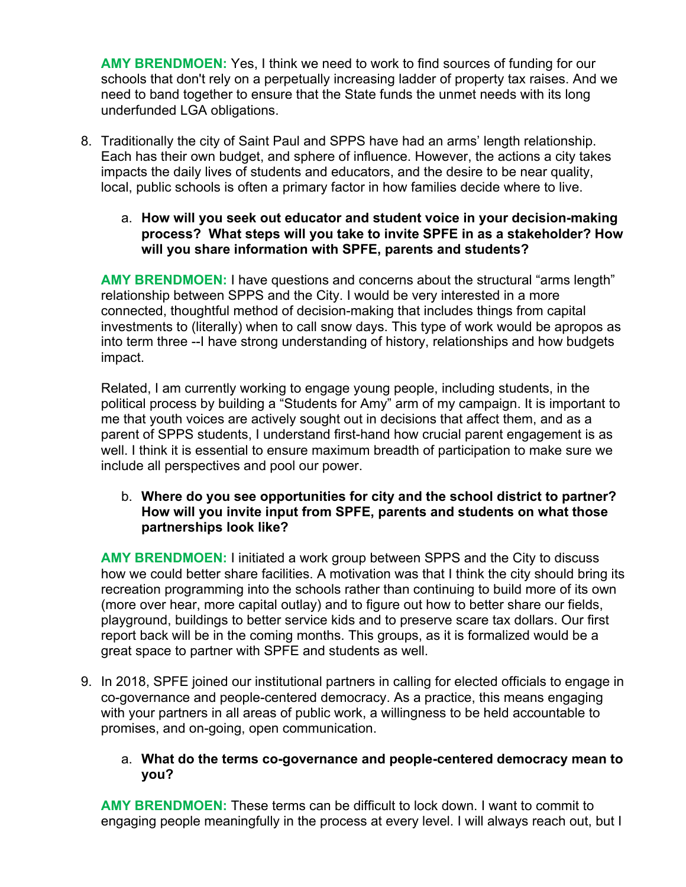**AMY BRENDMOEN:** Yes, I think we need to work to find sources of funding for our schools that don't rely on a perpetually increasing ladder of property tax raises. And we need to band together to ensure that the State funds the unmet needs with its long underfunded LGA obligations.

- 8. Traditionally the city of Saint Paul and SPPS have had an arms' length relationship. Each has their own budget, and sphere of influence. However, the actions a city takes impacts the daily lives of students and educators, and the desire to be near quality, local, public schools is often a primary factor in how families decide where to live.
	- a. **How will you seek out educator and student voice in your decision-making process? What steps will you take to invite SPFE in as a stakeholder? How will you share information with SPFE, parents and students?**

**AMY BRENDMOEN:** I have questions and concerns about the structural "arms length" relationship between SPPS and the City. I would be very interested in a more connected, thoughtful method of decision-making that includes things from capital investments to (literally) when to call snow days. This type of work would be apropos as into term three --I have strong understanding of history, relationships and how budgets impact.

Related, I am currently working to engage young people, including students, in the political process by building a "Students for Amy" arm of my campaign. It is important to me that youth voices are actively sought out in decisions that affect them, and as a parent of SPPS students, I understand first-hand how crucial parent engagement is as well. I think it is essential to ensure maximum breadth of participation to make sure we include all perspectives and pool our power.

### b. **Where do you see opportunities for city and the school district to partner? How will you invite input from SPFE, parents and students on what those partnerships look like?**

**AMY BRENDMOEN:** I initiated a work group between SPPS and the City to discuss how we could better share facilities. A motivation was that I think the city should bring its recreation programming into the schools rather than continuing to build more of its own (more over hear, more capital outlay) and to figure out how to better share our fields, playground, buildings to better service kids and to preserve scare tax dollars. Our first report back will be in the coming months. This groups, as it is formalized would be a great space to partner with SPFE and students as well.

9. In 2018, SPFE joined our institutional partners in calling for elected officials to engage in co-governance and people-centered democracy. As a practice, this means engaging with your partners in all areas of public work, a willingness to be held accountable to promises, and on-going, open communication.

# a. **What do the terms co-governance and people-centered democracy mean to you?**

**AMY BRENDMOEN:** These terms can be difficult to lock down. I want to commit to engaging people meaningfully in the process at every level. I will always reach out, but I